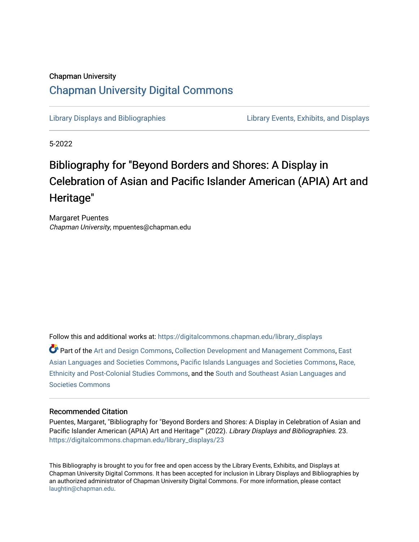# Chapman University [Chapman University Digital Commons](https://digitalcommons.chapman.edu/)

[Library Displays and Bibliographies](https://digitalcommons.chapman.edu/library_displays) [Library Events, Exhibits, and Displays](https://digitalcommons.chapman.edu/library_events) 

5-2022

# Bibliography for "Beyond Borders and Shores: A Display in Celebration of Asian and Pacific Islander American (APIA) Art and Heritage"

Margaret Puentes Chapman University, mpuentes@chapman.edu

Follow this and additional works at: [https://digitalcommons.chapman.edu/library\\_displays](https://digitalcommons.chapman.edu/library_displays?utm_source=digitalcommons.chapman.edu%2Flibrary_displays%2F23&utm_medium=PDF&utm_campaign=PDFCoverPages)

Part of the [Art and Design Commons](http://network.bepress.com/hgg/discipline/1049?utm_source=digitalcommons.chapman.edu%2Flibrary_displays%2F23&utm_medium=PDF&utm_campaign=PDFCoverPages), [Collection Development and Management Commons](http://network.bepress.com/hgg/discipline/1271?utm_source=digitalcommons.chapman.edu%2Flibrary_displays%2F23&utm_medium=PDF&utm_campaign=PDFCoverPages), [East](http://network.bepress.com/hgg/discipline/481?utm_source=digitalcommons.chapman.edu%2Flibrary_displays%2F23&utm_medium=PDF&utm_campaign=PDFCoverPages) [Asian Languages and Societies Commons](http://network.bepress.com/hgg/discipline/481?utm_source=digitalcommons.chapman.edu%2Flibrary_displays%2F23&utm_medium=PDF&utm_campaign=PDFCoverPages), [Pacific Islands Languages and Societies Commons,](http://network.bepress.com/hgg/discipline/1314?utm_source=digitalcommons.chapman.edu%2Flibrary_displays%2F23&utm_medium=PDF&utm_campaign=PDFCoverPages) [Race,](http://network.bepress.com/hgg/discipline/566?utm_source=digitalcommons.chapman.edu%2Flibrary_displays%2F23&utm_medium=PDF&utm_campaign=PDFCoverPages) [Ethnicity and Post-Colonial Studies Commons](http://network.bepress.com/hgg/discipline/566?utm_source=digitalcommons.chapman.edu%2Flibrary_displays%2F23&utm_medium=PDF&utm_campaign=PDFCoverPages), and the [South and Southeast Asian Languages and](http://network.bepress.com/hgg/discipline/487?utm_source=digitalcommons.chapman.edu%2Flibrary_displays%2F23&utm_medium=PDF&utm_campaign=PDFCoverPages)  [Societies Commons](http://network.bepress.com/hgg/discipline/487?utm_source=digitalcommons.chapman.edu%2Flibrary_displays%2F23&utm_medium=PDF&utm_campaign=PDFCoverPages)

#### Recommended Citation

Puentes, Margaret, "Bibliography for "Beyond Borders and Shores: A Display in Celebration of Asian and Pacific Islander American (APIA) Art and Heritage"" (2022). Library Displays and Bibliographies. 23. [https://digitalcommons.chapman.edu/library\\_displays/23](https://digitalcommons.chapman.edu/library_displays/23?utm_source=digitalcommons.chapman.edu%2Flibrary_displays%2F23&utm_medium=PDF&utm_campaign=PDFCoverPages)

This Bibliography is brought to you for free and open access by the Library Events, Exhibits, and Displays at Chapman University Digital Commons. It has been accepted for inclusion in Library Displays and Bibliographies by an authorized administrator of Chapman University Digital Commons. For more information, please contact [laughtin@chapman.edu.](mailto:laughtin@chapman.edu)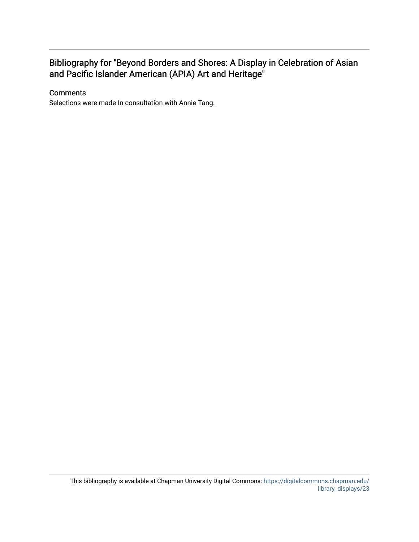## Bibliography for "Beyond Borders and Shores: A Display in Celebration of Asian and Pacific Islander American (APIA) Art and Heritage"

### **Comments**

Selections were made In consultation with Annie Tang.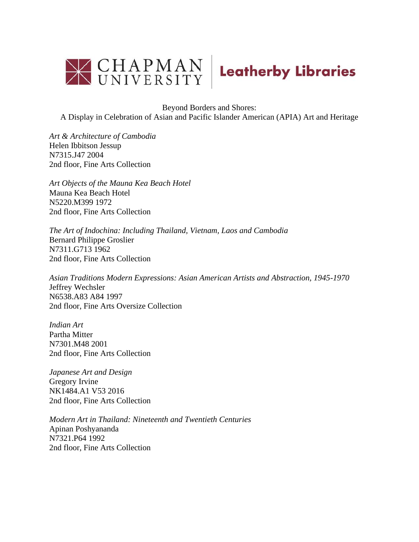

Beyond Borders and Shores:

A Display in Celebration of Asian and Pacific Islander American (APIA) Art and Heritage

*Art & Architecture of Cambodia* Helen Ibbitson Jessup N7315.J47 2004 2nd floor, Fine Arts Collection

*Art Objects of the Mauna Kea Beach Hotel* Mauna Kea Beach Hotel N5220.M399 1972 2nd floor, Fine Arts Collection

*The Art of Indochina: Including Thailand, Vietnam, Laos and Cambodia* Bernard Philippe Groslier N7311.G713 1962 2nd floor, Fine Arts Collection

*Asian Traditions Modern Expressions: Asian American Artists and Abstraction, 1945-1970* Jeffrey Wechsler N6538.A83 A84 1997 2nd floor, Fine Arts Oversize Collection

*Indian Art* Partha Mitter N7301.M48 2001 2nd floor, Fine Arts Collection

*Japanese Art and Design* Gregory Irvine NK1484.A1 V53 2016 2nd floor, Fine Arts Collection

*Modern Art in Thailand: Nineteenth and Twentieth Centuries* Apinan Poshyananda N7321.P64 1992 2nd floor, Fine Arts Collection